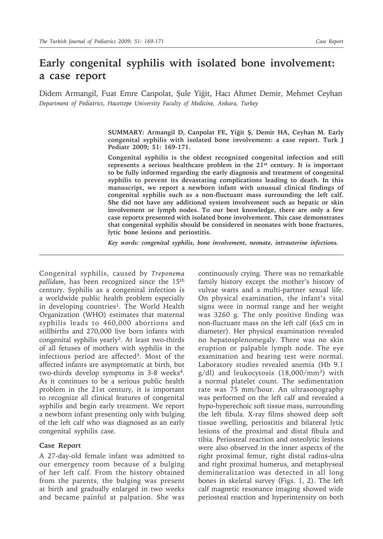## **Early congenital syphilis with isolated bone involvement: a case report**

Didem Armangil, Fuat Emre Canpolat, Şule Yiğit, Hacı Ahmet Demir, Mehmet Ceyhan *Department of Pediatrics, Hacettepe University Faculty of Medicine, Ankara, Turkey*

> **SUMMARY: Armangil D, Canpolat FE, Yiğit Ş, Demir HA, Ceyhan M. Early congenital syphilis with isolated bone involvement: a case report. Turk J Pediatr 2009; 51: 169-171.**

> **Congenital syphilis is the oldest recognized congenital infection and still represents a serious healthcare problem in the 21st century. It is important to be fully informed regarding the early diagnosis and treatment of congenital syphilis to prevent its devastating complications leading to death. In this manuscript, we report a newborn infant with unusual clinical findings of congenital syphilis such as a non-fluctuant mass surrounding the left calf. She did not have any additional system involvement such as hepatic or skin involvement or lymph nodes. To our best knowledge, there are only a few case reports presented with isolated bone involvement. This case demonstrates that congenital syphilis should be considered in neonates with bone fractures, lytic bone lesions and periostitis.**

*Key words: congenital syphilis, bone involvement, neonate, intrauterine infections.*

Congenital syphilis, caused by *Treponema pallidum*, has been recognized since the 15th century. Syphilis as a congenital infection is a worldwide public health problem especially in developing countries<sup>1</sup>. The World Health Organization (WHO) estimates that maternal syphilis leads to 460,000 abortions and stillbirths and 270,000 live born infants with congenital syphilis yearly2. At least two-thirds of all fetuses of mothers with syphilis in the infectious period are affected3. Most of the affected infants are asymptomatic at birth, but two-thirds develop symptoms in 3-8 weeks<sup>4</sup>. As it continues to be a serious public health problem in the 21st century, it is important to recognize all clinical features of congenital syphilis and begin early treatment. We report a newborn infant presenting only with bulging of the left calf who was diagnosed as an early congenital syphilis case.

## **Case Report**

A 27-day-old female infant was admitted to our emergency room because of a bulging of her left calf. From the history obtained from the parents, the bulging was present at birth and gradually enlarged in two weeks and became painful at palpation. She was

continuously crying. There was no remarkable family history except the mother's history of vulvae warts and a multi-partner sexual life. On physical examination, the infant's vital signs were in normal range and her weight was 3260 g. The only positive finding was non-fluctuant mass on the left calf (6x5 cm in diameter). Her physical examination revealed no hepatosplenomegaly. There was no skin eruption or palpable lymph node. The eye examination and hearing test were normal. Laboratory studies revealed anemia (Hb 9.1  $g/dl$ ) and leukocytosis  $(18,000/mm^3)$  with a normal platelet count. The sedimentation rate was 75 mm/hour. An ultrasonography was performed on the left calf and revealed a hypo-hyperechoic soft tissue mass, surrounding the left fibula. X-ray films showed deep soft tissue swelling, periostitis and bilateral lytic lesions of the proximal and distal fibula and tibia. Periosteal reaction and osteolytic lesions were also observed in the inner aspects of the right proximal femur, right distal radius-ulna and right proximal humerus, and metaphyseal demineralization was detected in all long bones in skeletal survey (Figs. 1, 2). The left calf magnetic resonance imaging showed wide periosteal reaction and hyperintensity on both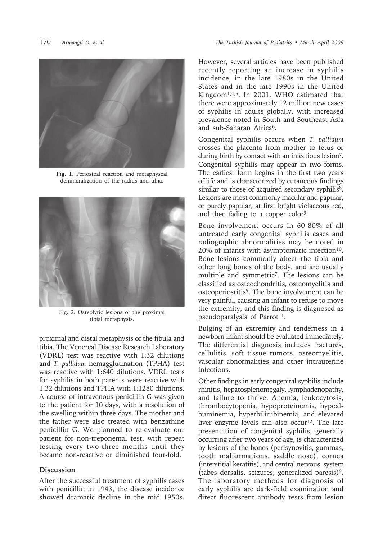

**Fig. 1.** Periosteal reaction and metaphyseal demineralization of the radius and ulna.



Fig. 2. Osteolytic lesions of the proximal tibial metaphysis.

proximal and distal metaphysis of the fibula and tibia. The Venereal Disease Research Laboratory (VDRL) test was reactive with 1:32 dilutions and *T. pallidum* hemagglutination (TPHA) test was reactive with 1:640 dilutions. VDRL tests for syphilis in both parents were reactive with 1:32 dilutions and TPHA with 1:1280 dilutions. A course of intravenous penicillin G was given to the patient for 10 days, with a resolution of the swelling within three days. The mother and the father were also treated with benzathine penicillin G. We planned to re-evaluate our patient for non-treponemal test, with repeat testing every two-three months until they became non-reactive or diminished four-fold.

## **Discussion**

After the successful treatment of syphilis cases with penicillin in 1943, the disease incidence showed dramatic decline in the mid 1950s.

However, several articles have been published recently reporting an increase in syphilis incidence, in the late 1980s in the United States and in the late 1990s in the United Kingdom1,4,5. In 2001, WHO estimated that there were approximately 12 million new cases of syphilis in adults globally, with increased prevalence noted in South and Southeast Asia and sub-Saharan Africa6.

Congenital syphilis occurs when *T. pallidum* crosses the placenta from mother to fetus or during birth by contact with an infectious lesion7. Congenital syphilis may appear in two forms. The earliest form begins in the first two years of life and is characterized by cutaneous findings similar to those of acquired secondary syphilis<sup>8</sup>. Lesions are most commonly macular and papular, or purely papular, at first bright violaceous red, and then fading to a copper color<sup>9</sup>.

Bone involvement occurs in 60-80% of all untreated early congenital syphilis cases and radiographic abnormalities may be noted in  $20\%$  of infants with asymptomatic infection<sup>10</sup>. Bone lesions commonly affect the tibia and other long bones of the body, and are usually multiple and symmetric7. The lesions can be classified as osteochondritis, osteomyelitis and osteoperiostitis9. The bone involvement can be very painful, causing an infant to refuse to move the extremity, and this finding is diagnosed as pseudoparalysis of Parrot<sup>11</sup>.

Bulging of an extremity and tenderness in a newborn infant should be evaluated immediately. The differential diagnosis includes fractures, cellulitis, soft tissue tumors, osteomyelitis, vascular abnormalities and other intrauterine infections.

Other findings in early congenital syphilis include rhinitis, hepatosplenomegaly, lymphadenopathy, and failure to thrive. Anemia, leukocytosis, thrombocytopenia, hypoproteinemia, hypoalbuminemia, hyperbilirubinemia, and elevated liver enzyme levels can also occur<sup>12</sup>. The late presentation of congenital syphilis, generally occurring after two years of age, is characterized by lesions of the bones (perisynovitis, gummas, tooth malformations, saddle nose), cornea (interstitial keratitis), and central nervous system (tabes dorsalis, seizures, generalized paresis)<sup>9</sup>. The laboratory methods for diagnosis of early syphilis are dark-field examination and direct fluorescent antibody tests from lesion